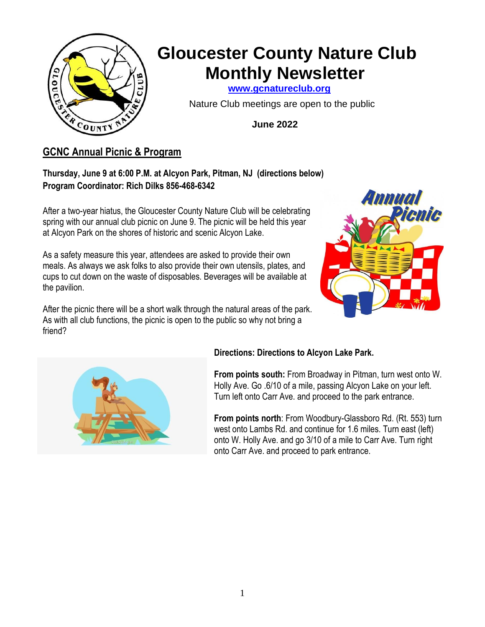

# **Gloucester County Nature Club Monthly Newsletter**

 **[www.gcnatureclub.org](http://www.gcnatureclub.org/)**

Nature Club meetings are open to the public

 **June 2022**

# **GCNC Annual Picnic & Program**

## **Thursday, June 9 at 6:00 P.M. at Alcyon Park, Pitman, NJ (directions below) Program Coordinator: Rich Dilks 856-468-6342**

After a two-year hiatus, the Gloucester County Nature Club will be celebrating spring with our annual club picnic on June 9. The picnic will be held this year at Alcyon Park on the shores of historic and scenic Alcyon Lake.

As a safety measure this year, attendees are asked to provide their own meals. As always we ask folks to also provide their own utensils, plates, and cups to cut down on the waste of disposables. Beverages will be available at the pavilion.



After the picnic there will be a short walk through the natural areas of the park. As with all club functions, the picnic is open to the public so why not bring a friend?



## **Directions: Directions to Alcyon Lake Park.**

**From points south:** From Broadway in Pitman, turn west onto W. Holly Ave. Go .6/10 of a mile, passing Alcyon Lake on your left. Turn left onto Carr Ave. and proceed to the park entrance.

**From points north**: From Woodbury-Glassboro Rd. (Rt. 553) turn west onto Lambs Rd. and continue for 1.6 miles. Turn east (left) onto W. Holly Ave. and go 3/10 of a mile to Carr Ave. Turn right onto Carr Ave. and proceed to park entrance.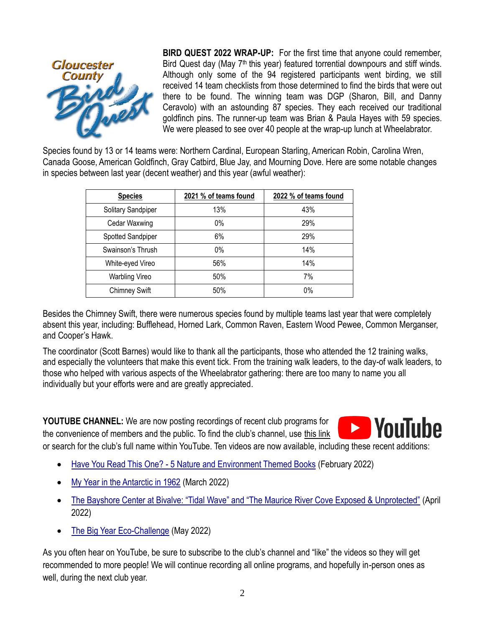

**BIRD QUEST 2022 WRAP-UP:** For the first time that anyone could remember, Bird Quest day (May  $7<sup>th</sup>$  this year) featured torrential downpours and stiff winds. Although only some of the 94 registered participants went birding, we still received 14 team checklists from those determined to find the birds that were out there to be found. The winning team was DGP (Sharon, Bill, and Danny Ceravolo) with an astounding 87 species. They each received our traditional goldfinch pins. The runner-up team was Brian & Paula Hayes with 59 species. We were pleased to see over 40 people at the wrap-up lunch at Wheelabrator.

Species found by 13 or 14 teams were: Northern Cardinal, European Starling, American Robin, Carolina Wren, Canada Goose, American Goldfinch, Gray Catbird, Blue Jay, and Mourning Dove. Here are some notable changes in species between last year (decent weather) and this year (awful weather):

| <b>Species</b>        | 2021 % of teams found | 2022 % of teams found |
|-----------------------|-----------------------|-----------------------|
| Solitary Sandpiper    | 13%                   | 43%                   |
| Cedar Waxwing         | 0%                    | 29%                   |
| Spotted Sandpiper     | 6%                    | 29%                   |
| Swainson's Thrush     | $0\%$                 | 14%                   |
| White-eyed Vireo      | 56%                   | 14%                   |
| <b>Warbling Vireo</b> | 50%                   | 7%                    |
| <b>Chimney Swift</b>  | 50%                   | 0%                    |

Besides the Chimney Swift, there were numerous species found by multiple teams last year that were completely absent this year, including: Bufflehead, Horned Lark, Common Raven, Eastern Wood Pewee, Common Merganser, and Cooper's Hawk.

The coordinator (Scott Barnes) would like to thank all the participants, those who attended the 12 training walks, and especially the volunteers that make this event tick. From the training walk leaders, to the day-of walk leaders, to those who helped with various aspects of the Wheelabrator gathering: there are too many to name you all individually but your efforts were and are greatly appreciated.

**D** YouTube **YOUTUBE CHANNEL:** We are now posting recordings of recent club programs for the convenience of members and the public. To find the club's channel, use [this link](https://www.youtube.com/channel/UCbAcuG6zuprOHyzapP1k8KA/) or search for the club's full name within YouTube. Ten videos are now available, including these recent additions:

- Have You Read This One? [5 Nature and Environment Themed Books](https://youtu.be/168vCqBZoAg) (February 2022)
- [My Year in the Antarctic in 1962](https://youtu.be/NAuuWU8kdtc) (March 2022)
- [The Bayshore Center at Bivalve: "Tidal Wave" and "The Maurice River Cove Exposed & Unprotected"](https://youtu.be/heqrLSmZbjo) (April 2022)
- [The Big Year Eco-Challenge](https://youtu.be/9FZm-RqLKX4) (May 2022)

As you often hear on YouTube, be sure to subscribe to the club's channel and "like" the videos so they will get recommended to more people! We will continue recording all online programs, and hopefully in-person ones as well, during the next club year.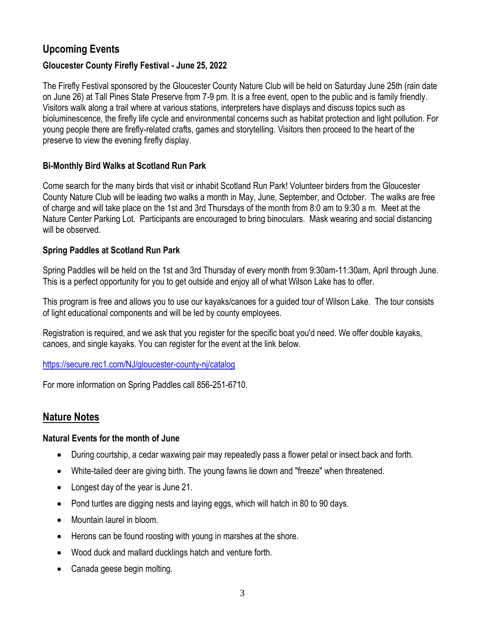# **Upcoming Events**

## **Gloucester County Firefly Festival - June 25, 2022**

The Firefly Festival sponsored by the Gloucester County Nature Club will be held on Saturday June 25th (rain date on June 26) at Tall Pines State Preserve from 7-9 pm. It is a free event, open to the public and is family friendly. Visitors walk along a trail where at various stations, interpreters have displays and discuss topics such as bioluminescence, the firefly life cycle and environmental concerns such as habitat protection and light pollution. For young people there are firefly-related crafts, games and storytelling. Visitors then proceed to the heart of the preserve to view the evening firefly display.

## **Bi-Monthly Bird Walks at Scotland Run Park**

Come search for the many birds that visit or inhabit Scotland Run Park! Volunteer birders from the Gloucester County Nature Club will be leading two walks a month in May, June, September, and October. The walks are free of charge and will take place on the 1st and 3rd Thursdays of the month from 8:0 am to 9:30 a m. Meet at the Nature Center Parking Lot. Participants are encouraged to bring binoculars. Mask wearing and social distancing will be observed.

## **Spring Paddles at Scotland Run Park**

Spring Paddles will be held on the 1st and 3rd Thursday of every month from 9:30am-11:30am, April through June. This is a perfect opportunity for you to get outside and enjoy all of what Wilson Lake has to offer.

This program is free and allows you to use our kayaks/canoes for a guided tour of Wilson Lake. The tour consists of light educational components and will be led by county employees.

Registration is required, and we ask that you register for the specific boat you'd need. We offer double kayaks, canoes, and single kayaks. You can register for the event at the link below.

### <https://secure.rec1.com/NJ/gloucester-county-nj/catalog>

For more information on Spring Paddles call 856-251-6710.

## **Nature Notes**

### **Natural Events for the month of June**

- During courtship, a cedar waxwing pair may repeatedly pass a flower petal or insect back and forth.
- White-tailed deer are giving birth. The young fawns lie down and "freeze" when threatened.
- Longest day of the year is June 21.
- Pond turtles are digging nests and laying eggs, which will hatch in 80 to 90 days.
- Mountain laurel in bloom.
- Herons can be found roosting with young in marshes at the shore.
- Wood duck and mallard ducklings hatch and venture forth.
- Canada geese begin molting.